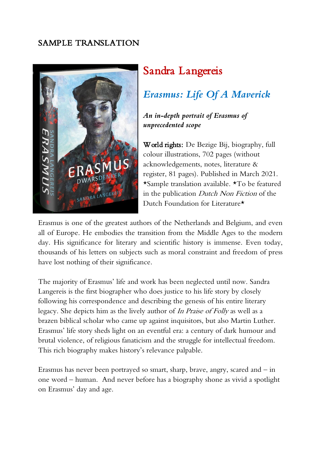# SAMPLE TRANSLATION



# Sandra Langereis

# *Erasmus: Life Of A Maverick*

# *An in-depth portrait of Erasmus of unprecedented scope*

World rights: De Bezige Bij, biography, full colour illustrations, 702 pages (without acknowledgements, notes, literature & register, 81 pages). Published in March 2021. \*Sample translation available. \*To be featured in the publication Dutch Non Fiction of the Dutch Foundation for Literature\*

Erasmus is one of the greatest authors of the Netherlands and Belgium, and even all of Europe. He embodies the transition from the Middle Ages to the modern day. His significance for literary and scientific history is immense. Even today, thousands of his letters on subjects such as moral constraint and freedom of press have lost nothing of their significance.

The majority of Erasmus' life and work has been neglected until now. Sandra Langereis is the first biographer who does justice to his life story by closely following his correspondence and describing the genesis of his entire literary legacy. She depicts him as the lively author of In Praise of Folly as well as a brazen biblical scholar who came up against inquisitors, but also Martin Luther. Erasmus' life story sheds light on an eventful era: a century of dark humour and brutal violence, of religious fanaticism and the struggle for intellectual freedom. This rich biography makes history's relevance palpable.

Erasmus has never been portrayed so smart, sharp, brave, angry, scared and – in one word – human. And never before has a biography shone as vivid a spotlight on Erasmus' day and age.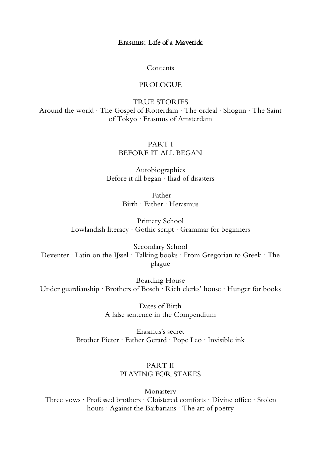## Erasmus: Life of a Maverick

Contents

#### PROLOGUE

TRUE STORIES Around the world · The Gospel of Rotterdam · The ordeal · Shogun · The Saint of Tokyo · Erasmus of Amsterdam

## PART I BEFORE IT ALL BEGAN

Autobiographies Before it all began · Iliad of disasters

> Father Birth · Father · Herasmus

Primary School Lowlandish literacy · Gothic script · Grammar for beginners

Secondary School Deventer · Latin on the IJssel · Talking books · From Gregorian to Greek · The plague

Boarding House Under guardianship · Brothers of Bosch · Rich clerks' house · Hunger for books

> Dates of Birth A false sentence in the Compendium

Erasmus's secret Brother Pieter · Father Gerard · Pope Leo · Invisible ink

### PART II PLAYING FOR STAKES

Monastery Three vows · Professed brothers · Cloistered comforts · Divine office · Stolen hours · Against the Barbarians · The art of poetry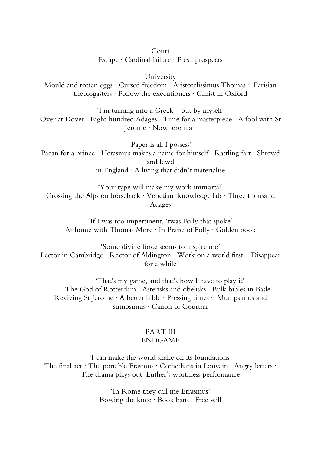#### Court

Escape · Cardinal failure · Fresh prospects

University

Mould and rotten eggs · Cursed freedom · Aristotelissimus Thomas · Parisian theologasters · Follow the executioners · Christ in Oxford

'I'm turning into a Greek – but by myself' Over at Dover · Eight hundred Adages · Time for a masterpiece · A fool with St Jerome · Nowhere man

'Paper is all I possess' Paean for a prince · Herasmus makes a name for himself · Rattling fart · Shrewd and lewd in England  $\cdot$  A living that didn't materialise

'Your type will make my work immortal' Crossing the Alps on horseback · Venetian knowledge lab · Three thousand Adages

'If I was too impertinent, 'twas Folly that spoke' At home with Thomas More · In Praise of Folly · Golden book

'Some divine force seems to inspire me' Lector in Cambridge · Rector of Aldington · Work on a world first · Disappear for a while

'That's my game, and that's how I have to play it' The God of Rotterdam · Asterisks and obelisks · Bulk bibles in Basle · Reviving St Jerome · A better bible · Pressing times · Mumpsimus and sumpsimus · Canon of Courtrai

#### PART III ENDGAME

'I can make the world shake on its foundations' The final act · The portable Erasmus · Comedians in Louvain · Angry letters · The drama plays out Luther's worthless performance

> 'In Rome they call me Errasmus' Bowing the knee · Book bans · Free will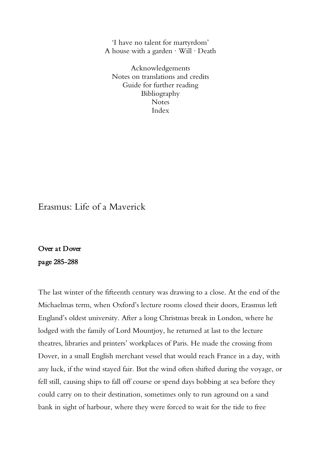'I have no talent for martyrdom' A house with a garden · Will · Death

Acknowledgements Notes on translations and credits Guide for further reading Bibliography Notes Index

Erasmus: Life of a Maverick

Over at Dover page 285-288

The last winter of the fifteenth century was drawing to a close. At the end of the Michaelmas term, when Oxford's lecture rooms closed their doors, Erasmus left England's oldest university. After a long Christmas break in London, where he lodged with the family of Lord Mountjoy, he returned at last to the lecture theatres, libraries and printers' workplaces of Paris. He made the crossing from Dover, in a small English merchant vessel that would reach France in a day, with any luck, if the wind stayed fair. But the wind often shifted during the voyage, or fell still, causing ships to fall off course or spend days bobbing at sea before they could carry on to their destination, sometimes only to run aground on a sand bank in sight of harbour, where they were forced to wait for the tide to free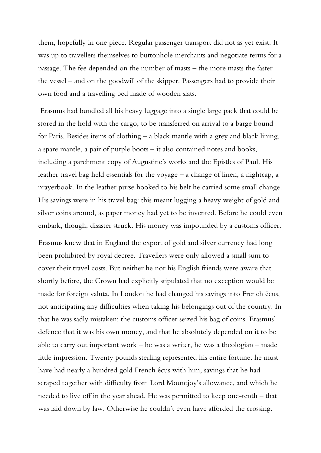them, hopefully in one piece. Regular passenger transport did not as yet exist. It was up to travellers themselves to buttonhole merchants and negotiate terms for a passage. The fee depended on the number of masts – the more masts the faster the vessel – and on the goodwill of the skipper. Passengers had to provide their own food and a travelling bed made of wooden slats.

Erasmus had bundled all his heavy luggage into a single large pack that could be stored in the hold with the cargo, to be transferred on arrival to a barge bound for Paris. Besides items of clothing – a black mantle with a grey and black lining, a spare mantle, a pair of purple boots – it also contained notes and books, including a parchment copy of Augustine's works and the Epistles of Paul. His leather travel bag held essentials for the voyage – a change of linen, a nightcap, a prayerbook. In the leather purse hooked to his belt he carried some small change. His savings were in his travel bag: this meant lugging a heavy weight of gold and silver coins around, as paper money had yet to be invented. Before he could even embark, though, disaster struck. His money was impounded by a customs officer.

Erasmus knew that in England the export of gold and silver currency had long been prohibited by royal decree. Travellers were only allowed a small sum to cover their travel costs. But neither he nor his English friends were aware that shortly before, the Crown had explicitly stipulated that no exception would be made for foreign valuta. In London he had changed his savings into French écus, not anticipating any difficulties when taking his belongings out of the country. In that he was sadly mistaken: the customs officer seized his bag of coins. Erasmus' defence that it was his own money, and that he absolutely depended on it to be able to carry out important work – he was a writer, he was a theologian – made little impression. Twenty pounds sterling represented his entire fortune: he must have had nearly a hundred gold French écus with him, savings that he had scraped together with difficulty from Lord Mountjoy's allowance, and which he needed to live off in the year ahead. He was permitted to keep one-tenth – that was laid down by law. Otherwise he couldn't even have afforded the crossing.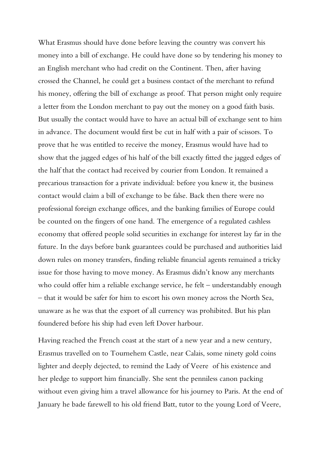What Erasmus should have done before leaving the country was convert his money into a bill of exchange. He could have done so by tendering his money to an English merchant who had credit on the Continent. Then, after having crossed the Channel, he could get a business contact of the merchant to refund his money, offering the bill of exchange as proof. That person might only require a letter from the London merchant to pay out the money on a good faith basis. But usually the contact would have to have an actual bill of exchange sent to him in advance. The document would first be cut in half with a pair of scissors. To prove that he was entitled to receive the money, Erasmus would have had to show that the jagged edges of his half of the bill exactly fitted the jagged edges of the half that the contact had received by courier from London. It remained a precarious transaction for a private individual: before you knew it, the business contact would claim a bill of exchange to be false. Back then there were no professional foreign exchange offices, and the banking families of Europe could be counted on the fingers of one hand. The emergence of a regulated cashless economy that offered people solid securities in exchange for interest lay far in the future. In the days before bank guarantees could be purchased and authorities laid down rules on money transfers, finding reliable financial agents remained a tricky issue for those having to move money. As Erasmus didn't know any merchants who could offer him a reliable exchange service, he felt – understandably enough – that it would be safer for him to escort his own money across the North Sea, unaware as he was that the export of all currency was prohibited. But his plan foundered before his ship had even left Dover harbour.

Having reached the French coast at the start of a new year and a new century, Erasmus travelled on to Tournehem Castle, near Calais, some ninety gold coins lighter and deeply dejected, to remind the Lady of Veere of his existence and her pledge to support him financially. She sent the penniless canon packing without even giving him a travel allowance for his journey to Paris. At the end of January he bade farewell to his old friend Batt, tutor to the young Lord of Veere,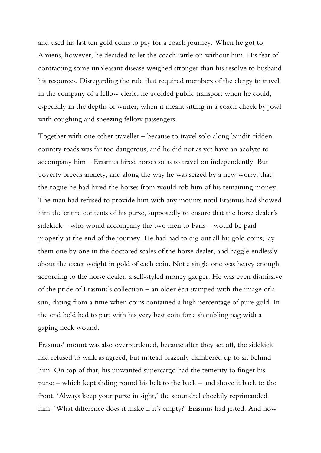and used his last ten gold coins to pay for a coach journey. When he got to Amiens, however, he decided to let the coach rattle on without him. His fear of contracting some unpleasant disease weighed stronger than his resolve to husband his resources. Disregarding the rule that required members of the clergy to travel in the company of a fellow cleric, he avoided public transport when he could, especially in the depths of winter, when it meant sitting in a coach cheek by jowl with coughing and sneezing fellow passengers.

Together with one other traveller – because to travel solo along bandit-ridden country roads was far too dangerous, and he did not as yet have an acolyte to accompany him – Erasmus hired horses so as to travel on independently. But poverty breeds anxiety, and along the way he was seized by a new worry: that the rogue he had hired the horses from would rob him of his remaining money. The man had refused to provide him with any mounts until Erasmus had showed him the entire contents of his purse, supposedly to ensure that the horse dealer's sidekick – who would accompany the two men to Paris – would be paid properly at the end of the journey. He had had to dig out all his gold coins, lay them one by one in the doctored scales of the horse dealer, and haggle endlessly about the exact weight in gold of each coin. Not a single one was heavy enough according to the horse dealer, a self-styled money gauger. He was even dismissive of the pride of Erasmus's collection – an older écu stamped with the image of a sun, dating from a time when coins contained a high percentage of pure gold. In the end he'd had to part with his very best coin for a shambling nag with a gaping neck wound.

Erasmus' mount was also overburdened, because after they set off, the sidekick had refused to walk as agreed, but instead brazenly clambered up to sit behind him. On top of that, his unwanted supercargo had the temerity to finger his purse – which kept sliding round his belt to the back – and shove it back to the front. 'Always keep your purse in sight,' the scoundrel cheekily reprimanded him. 'What difference does it make if it's empty?' Erasmus had jested. And now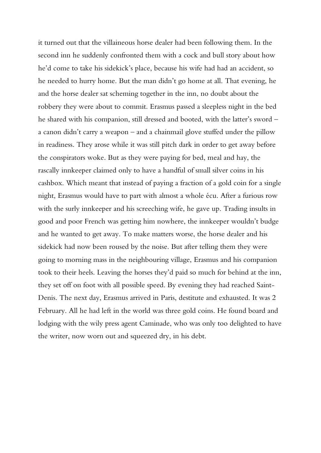it turned out that the villaineous horse dealer had been following them. In the second inn he suddenly confronted them with a cock and bull story about how he'd come to take his sidekick's place, because his wife had had an accident, so he needed to hurry home. But the man didn't go home at all. That evening, he and the horse dealer sat scheming together in the inn, no doubt about the robbery they were about to commit. Erasmus passed a sleepless night in the bed he shared with his companion, still dressed and booted, with the latter's sword – a canon didn't carry a weapon – and a chainmail glove stuffed under the pillow in readiness. They arose while it was still pitch dark in order to get away before the conspirators woke. But as they were paying for bed, meal and hay, the rascally innkeeper claimed only to have a handful of small silver coins in his cashbox. Which meant that instead of paying a fraction of a gold coin for a single night, Erasmus would have to part with almost a whole écu. After a furious row with the surly innkeeper and his screeching wife, he gave up. Trading insults in good and poor French was getting him nowhere, the innkeeper wouldn't budge and he wanted to get away. To make matters worse, the horse dealer and his sidekick had now been roused by the noise. But after telling them they were going to morning mass in the neighbouring village, Erasmus and his companion took to their heels. Leaving the horses they'd paid so much for behind at the inn, they set off on foot with all possible speed. By evening they had reached Saint-Denis. The next day, Erasmus arrived in Paris, destitute and exhausted. It was 2 February. All he had left in the world was three gold coins. He found board and lodging with the wily press agent Caminade, who was only too delighted to have the writer, now worn out and squeezed dry, in his debt.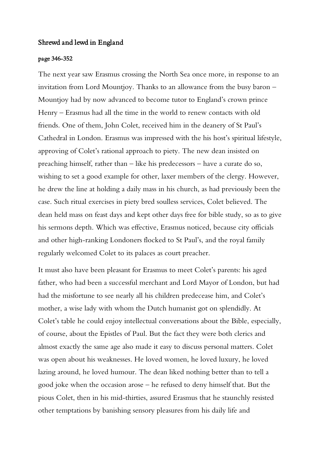#### Shrewd and lewd in England

#### page 346-352

The next year saw Erasmus crossing the North Sea once more, in response to an invitation from Lord Mountjoy. Thanks to an allowance from the busy baron – Mountjoy had by now advanced to become tutor to England's crown prince Henry – Erasmus had all the time in the world to renew contacts with old friends. One of them, John Colet, received him in the deanery of St Paul's Cathedral in London. Erasmus was impressed with the his host's spiritual lifestyle, approving of Colet's rational approach to piety. The new dean insisted on preaching himself, rather than – like his predecessors – have a curate do so, wishing to set a good example for other, laxer members of the clergy. However, he drew the line at holding a daily mass in his church, as had previously been the case. Such ritual exercises in piety bred soulless services, Colet believed. The dean held mass on feast days and kept other days free for bible study, so as to give his sermons depth. Which was effective, Erasmus noticed, because city officials and other high-ranking Londoners flocked to St Paul's, and the royal family regularly welcomed Colet to its palaces as court preacher.

It must also have been pleasant for Erasmus to meet Colet's parents: his aged father, who had been a successful merchant and Lord Mayor of London, but had had the misfortune to see nearly all his children predecease him, and Colet's mother, a wise lady with whom the Dutch humanist got on splendidly. At Colet's table he could enjoy intellectual conversations about the Bible, especially, of course, about the Epistles of Paul. But the fact they were both clerics and almost exactly the same age also made it easy to discuss personal matters. Colet was open about his weaknesses. He loved women, he loved luxury, he loved lazing around, he loved humour. The dean liked nothing better than to tell a good joke when the occasion arose – he refused to deny himself that. But the pious Colet, then in his mid-thirties, assured Erasmus that he staunchly resisted other temptations by banishing sensory pleasures from his daily life and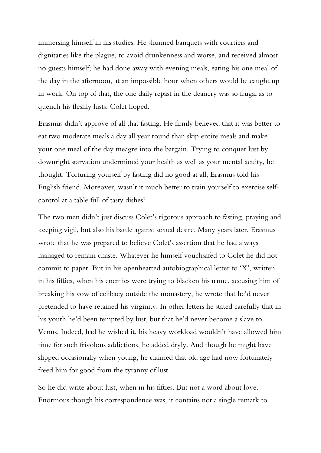immersing himself in his studies. He shunned banquets with courtiers and dignitaries like the plague, to avoid drunkenness and worse, and received almost no guests himself; he had done away with evening meals, eating his one meal of the day in the afternoon, at an impossible hour when others would be caught up in work. On top of that, the one daily repast in the deanery was so frugal as to quench his fleshly lusts, Colet hoped.

Erasmus didn't approve of all that fasting. He firmly believed that it was better to eat two moderate meals a day all year round than skip entire meals and make your one meal of the day meagre into the bargain. Trying to conquer lust by downright starvation undermined your health as well as your mental acuity, he thought. Torturing yourself by fasting did no good at all, Erasmus told his English friend. Moreover, wasn't it much better to train yourself to exercise selfcontrol at a table full of tasty dishes?

The two men didn't just discuss Colet's rigorous approach to fasting, praying and keeping vigil, but also his battle against sexual desire. Many years later, Erasmus wrote that he was prepared to believe Colet's assertion that he had always managed to remain chaste. Whatever he himself vouchsafed to Colet he did not commit to paper. But in his openhearted autobiographical letter to 'X', written in his fifties, when his enemies were trying to blacken his name, accusing him of breaking his vow of celibacy outside the monastery, he wrote that he'd never pretended to have retained his virginity. In other letters he stated carefully that in his youth he'd been tempted by lust, but that he'd never become a slave to Venus. Indeed, had he wished it, his heavy workload wouldn't have allowed him time for such frivolous addictions, he added dryly. And though he might have slipped occasionally when young, he claimed that old age had now fortunately freed him for good from the tyranny of lust.

So he did write about lust, when in his fifties. But not a word about love. Enormous though his correspondence was, it contains not a single remark to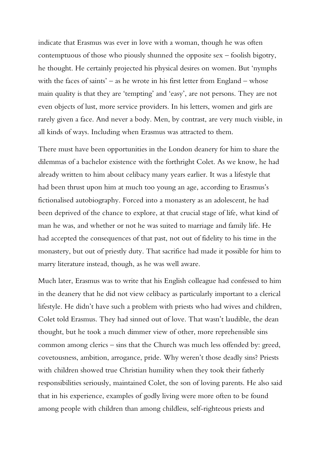indicate that Erasmus was ever in love with a woman, though he was often contemptuous of those who piously shunned the opposite sex – foolish bigotry, he thought. He certainly projected his physical desires on women. But 'nymphs with the faces of saints' – as he wrote in his first letter from England – whose main quality is that they are 'tempting' and 'easy', are not persons. They are not even objects of lust, more service providers. In his letters, women and girls are rarely given a face. And never a body. Men, by contrast, are very much visible, in all kinds of ways. Including when Erasmus was attracted to them.

There must have been opportunities in the London deanery for him to share the dilemmas of a bachelor existence with the forthright Colet. As we know, he had already written to him about celibacy many years earlier. It was a lifestyle that had been thrust upon him at much too young an age, according to Erasmus's fictionalised autobiography. Forced into a monastery as an adolescent, he had been deprived of the chance to explore, at that crucial stage of life, what kind of man he was, and whether or not he was suited to marriage and family life. He had accepted the consequences of that past, not out of fidelity to his time in the monastery, but out of priestly duty. That sacrifice had made it possible for him to marry literature instead, though, as he was well aware.

Much later, Erasmus was to write that his English colleague had confessed to him in the deanery that he did not view celibacy as particularly important to a clerical lifestyle. He didn't have such a problem with priests who had wives and children, Colet told Erasmus. They had sinned out of love. That wasn't laudible, the dean thought, but he took a much dimmer view of other, more reprehensible sins common among clerics – sins that the Church was much less offended by: greed, covetousness, ambition, arrogance, pride. Why weren't those deadly sins? Priests with children showed true Christian humility when they took their fatherly responsibilities seriously, maintained Colet, the son of loving parents. He also said that in his experience, examples of godly living were more often to be found among people with children than among childless, self-righteous priests and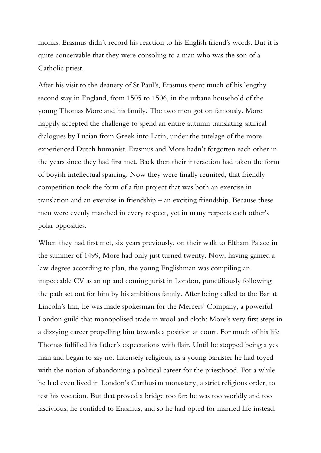monks. Erasmus didn't record his reaction to his English friend's words. But it is quite conceivable that they were consoling to a man who was the son of a Catholic priest.

After his visit to the deanery of St Paul's, Erasmus spent much of his lengthy second stay in England, from 1505 to 1506, in the urbane household of the young Thomas More and his family. The two men got on famously. More happily accepted the challenge to spend an entire autumn translating satirical dialogues by Lucian from Greek into Latin, under the tutelage of the more experienced Dutch humanist. Erasmus and More hadn't forgotten each other in the years since they had first met. Back then their interaction had taken the form of boyish intellectual sparring. Now they were finally reunited, that friendly competition took the form of a fun project that was both an exercise in translation and an exercise in friendship – an exciting friendship. Because these men were evenly matched in every respect, yet in many respects each other's polar opposities.

When they had first met, six years previously, on their walk to Eltham Palace in the summer of 1499, More had only just turned twenty. Now, having gained a law degree according to plan, the young Englishman was compiling an impeccable CV as an up and coming jurist in London, punctiliously following the path set out for him by his ambitious family. After being called to the Bar at Lincoln's Inn, he was made spokesman for the Mercers' Company, a powerful London guild that monopolised trade in wool and cloth: More's very first steps in a dizzying career propelling him towards a position at court. For much of his life Thomas fulfilled his father's expectations with flair. Until he stopped being a yes man and began to say no. Intensely religious, as a young barrister he had toyed with the notion of abandoning a political career for the priesthood. For a while he had even lived in London's Carthusian monastery, a strict religious order, to test his vocation. But that proved a bridge too far: he was too worldly and too lascivious, he confided to Erasmus, and so he had opted for married life instead.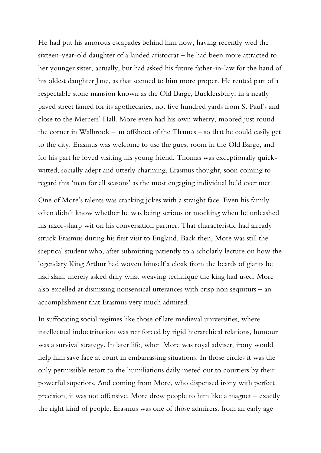He had put his amorous escapades behind him now, having recently wed the sixteen-year-old daughter of a landed aristocrat – he had been more attracted to her younger sister, actually, but had asked his future father-in-law for the hand of his oldest daughter Jane, as that seemed to him more proper. He rented part of a respectable stone mansion known as the Old Barge, Bucklersbury, in a neatly paved street famed for its apothecaries, not five hundred yards from St Paul's and close to the Mercers' Hall. More even had his own wherry, moored just round the corner in Walbrook – an offshoot of the Thames – so that he could easily get to the city. Erasmus was welcome to use the guest room in the Old Barge, and for his part he loved visiting his young friend. Thomas was exceptionally quickwitted, socially adept and utterly charming, Erasmus thought, soon coming to regard this 'man for all seasons' as the most engaging individual he'd ever met.

One of More's talents was cracking jokes with a straight face. Even his family often didn't know whether he was being serious or mocking when he unleashed his razor-sharp wit on his conversation partner. That characteristic had already struck Erasmus during his first visit to England. Back then, More was still the sceptical student who, after submitting patiently to a scholarly lecture on how the legendary King Arthur had woven himself a cloak from the beards of giants he had slain, merely asked drily what weaving technique the king had used. More also excelled at dismissing nonsensical utterances with crisp non sequiturs – an accomplishment that Erasmus very much admired.

In suffocating social regimes like those of late medieval universities, where intellectual indoctrination was reinforced by rigid hierarchical relations, humour was a survival strategy. In later life, when More was royal adviser, irony would help him save face at court in embarrassing situations. In those circles it was the only permissible retort to the humiliations daily meted out to courtiers by their powerful superiors. And coming from More, who dispensed irony with perfect precision, it was not offensive. More drew people to him like a magnet – exactly the right kind of people. Erasmus was one of those admirers: from an early age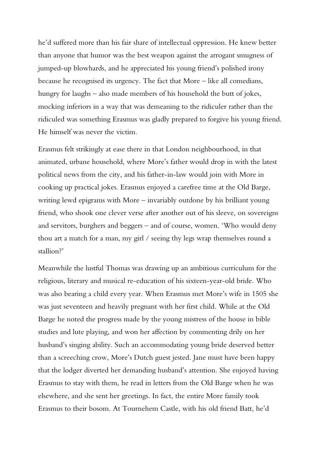he'd suffered more than his fair share of intellectual oppression. He knew better than anyone that humor was the best weapon against the arrogant smugness of jumped-up blowhards, and he appreciated his young friend's polished irony because he recognised its urgency. The fact that More – like all comedians, hungry for laughs – also made members of his household the butt of jokes, mocking inferiors in a way that was demeaning to the ridiculer rather than the ridiculed was something Erasmus was gladly prepared to forgive his young friend. He himself was never the victim.

Erasmus felt strikingly at ease there in that London neighbourhood, in that animated, urbane household, where More's father would drop in with the latest political news from the city, and his father-in-law would join with More in cooking up practical jokes. Erasmus enjoyed a carefree time at the Old Barge, writing lewd epigrams with More – invariably outdone by his brilliant young friend, who shook one clever verse after another out of his sleeve, on sovereigns and servitors, burghers and beggers – and of course, women. 'Who would deny thou art a match for a man, my girl / seeing thy legs wrap themselves round a stallion?'

Meanwhile the lustful Thomas was drawing up an ambitious curriculum for the religious, literary and musical re-education of his sixteen-year-old bride. Who was also bearing a child every year. When Erasmus met More's wife in 1505 she was just seventeen and heavily pregnant with her first child. While at the Old Barge he noted the progress made by the young mistress of the house in bible studies and lute playing, and won her affection by commenting drily on her husband's singing ability. Such an accommodating young bride deserved better than a screeching crow, More's Dutch guest jested. Jane must have been happy that the lodger diverted her demanding husband's attention. She enjoyed having Erasmus to stay with them, he read in letters from the Old Barge when he was elsewhere, and she sent her greetings. In fact, the entire More family took Erasmus to their bosom. At Tournehem Castle, with his old friend Batt, he'd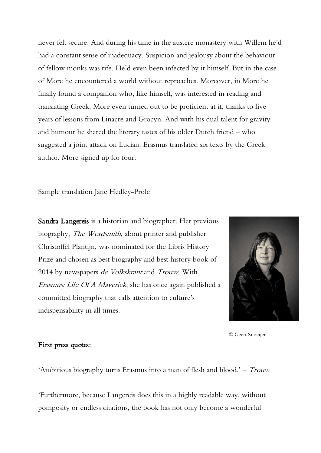never felt secure. And during his time in the austere monastery with Willem he'd had a constant sense of inadequacy. Suspicion and jealousy about the behaviour of fellow monks was rife. He'd even been infected by it himself. But in the case of More he encountered a world without reproaches. Moreover, in More he finally found a companion who, like himself, was interested in reading and translating Greek. More even turned out to be proficient at it, thanks to five years of lessons from Linacre and Grocyn. And with his dual talent for gravity and humour he shared the literary tastes of his older Dutch friend – who suggested a joint attack on Lucian. Erasmus translated six texts by the Greek author. More signed up for four.

Sample translation Jane Hedley-Prole

Sandra Langereis is a historian and biographer. Her previous biography, The Wordsmith, about printer and publisher Christoffel Plantijn, was nominated for the Libris History Prize and chosen as best biography and best history book of 2014 by newspapers de Volkskrant and Trouw. With Erasmus: Life Of A Maverick, she has once again published a committed biography that calls attention to culture's indispensability in all times.



© Geert Snoeijer

### First press quotes:

'Ambitious biography turns Erasmus into a man of flesh and blood.' – Trouw

'Furthermore, because Langereis does this in a highly readable way, without pomposity or endless citations, the book has not only become a wonderful